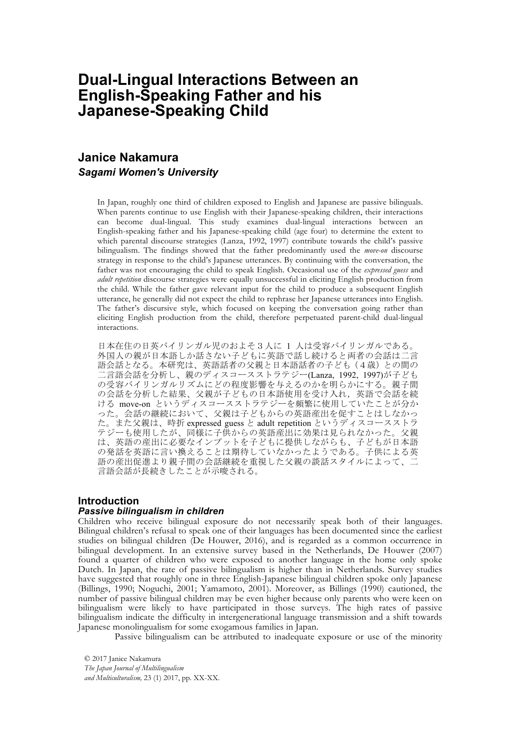# **Dual-Lingual Interactions Between an English-Speaking Father and his Japanese-Speaking Child**

# **Janice Nakamura** *Sagami Women's University*

In Japan, roughly one third of children exposed to English and Japanese are passive bilinguals. When parents continue to use English with their Japanese-speaking children, their interactions can become dual-lingual. This study examines dual-lingual interactions between an English-speaking father and his Japanese-speaking child (age four) to determine the extent to which parental discourse strategies (Lanza, 1992, 1997) contribute towards the child's passive bilingualism. The findings showed that the father predominantly used the *move-on* discourse strategy in response to the child's Japanese utterances. By continuing with the conversation, the father was not encouraging the child to speak English. Occasional use of the *expressed guess* and *adult repetition* discourse strategies were equally unsuccessful in eliciting English production from the child. While the father gave relevant input for the child to produce a subsequent English utterance, he generally did not expect the child to rephrase her Japanese utterances into English. The father's discursive style, which focused on keeping the conversation going rather than eliciting English production from the child, therefore perpetuated parent-child dual-lingual interactions.

日本在住の日英バイリンガル児のおよそ3人に 1 人は受容バイリンガルである。 外国人の親が日本語しか話さない子どもに英語で話し続けると両者の会話は二言 語会話となる。本研究は、英語話者の父親と日本語話者の子ども(4歳)との間の 二言語会話を分析し、親のディスコースストラテジー(Lanza, 1992, 1997)が子ども の受容バイリンガルリズムにどの程度影響を与えるのかを明らかにする。親子間 の会話を分析した結果、父親が子どもの日本語使用を受け入れ,英語で会話を続 ける move-on というディスコースストラテジーを頻繁に使用していたことが分か った。会話の継続において、父親は子どもからの英語産出を促すことはしなかっ た。また父親は、時折 expressed guess と adult repetition というディスコースストラ テジーも使用したが、同様に子供からの英語産出に効果は見られなかった。父親 は、英語の産出に必要なインプットを子どもに提供しながらも、子どもが日本語 の発話を英語に言い換えることは期待していなかったようである。子供による英 語の産出促進より親子間の会話継続を重視した父親の談話スタイルによって、二 言語会話が長続きしたことが示唆される。

## **Introduction**

### *Passive bilingualism in children*

Children who receive bilingual exposure do not necessarily speak both of their languages. Bilingual children's refusal to speak one of their languages has been documented since the earliest studies on bilingual children (De Houwer, 2016), and is regarded as a common occurrence in bilingual development. In an extensive survey based in the Netherlands, De Houwer (2007) found a quarter of children who were exposed to another language in the home only spoke Dutch. In Japan, the rate of passive bilingualism is higher than in Netherlands. Survey studies have suggested that roughly one in three English-Japanese bilingual children spoke only Japanese (Billings, 1990; Noguchi, 2001; Yamamoto, 2001). Moreover, as Billings (1990) cautioned, the number of passive bilingual children may be even higher because only parents who were keen on bilingualism were likely to have participated in those surveys. The high rates of passive bilingualism indicate the difficulty in intergenerational language transmission and a shift towards Japanese monolingualism for some exogamous families in Japan.

Passive bilingualism can be attributed to inadequate exposure or use of the minority

© 2017 Janice Nakamura *The Japan Journal of Multilingualism and Multiculturalism,* 23 (1) 2017, pp. XX-XX.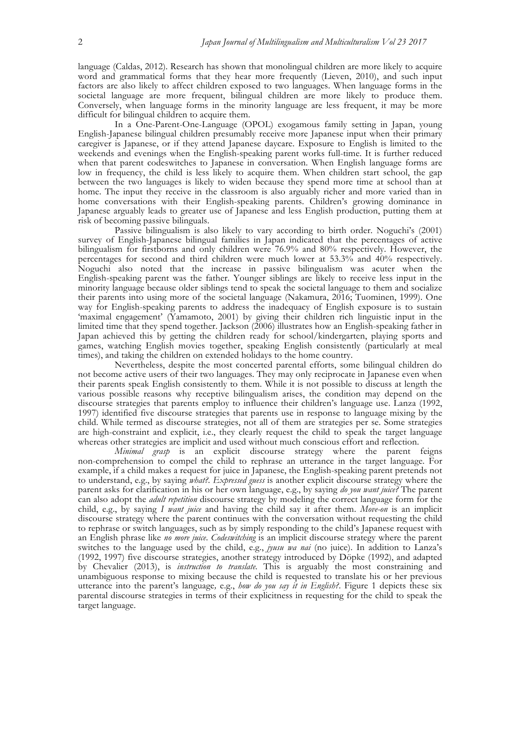language (Caldas, 2012). Research has shown that monolingual children are more likely to acquire word and grammatical forms that they hear more frequently (Lieven, 2010), and such input factors are also likely to affect children exposed to two languages. When language forms in the societal language are more frequent, bilingual children are more likely to produce them. Conversely, when language forms in the minority language are less frequent, it may be more difficult for bilingual children to acquire them.

In a One-Parent-One-Language (OPOL) exogamous family setting in Japan, young English-Japanese bilingual children presumably receive more Japanese input when their primary caregiver is Japanese, or if they attend Japanese daycare. Exposure to English is limited to the weekends and evenings when the English-speaking parent works full-time. It is further reduced when that parent codeswitches to Japanese in conversation. When English language forms are low in frequency, the child is less likely to acquire them. When children start school, the gap between the two languages is likely to widen because they spend more time at school than at home. The input they receive in the classroom is also arguably richer and more varied than in home conversations with their English-speaking parents. Children's growing dominance in Japanese arguably leads to greater use of Japanese and less English production, putting them at risk of becoming passive bilinguals.

Passive bilingualism is also likely to vary according to birth order. Noguchi's (2001) survey of English-Japanese bilingual families in Japan indicated that the percentages of active bilingualism for firstborns and only children were 76.9% and 80% respectively. However, the percentages for second and third children were much lower at 53.3% and 40% respectively. Noguchi also noted that the increase in passive bilingualism was acuter when the English-speaking parent was the father. Younger siblings are likely to receive less input in the minority language because older siblings tend to speak the societal language to them and socialize their parents into using more of the societal language (Nakamura, 2016; Tuominen, 1999). One way for English-speaking parents to address the inadequacy of English exposure is to sustain 'maximal engagement' (Yamamoto, 2001) by giving their children rich linguistic input in the limited time that they spend together. Jackson (2006) illustrates how an English-speaking father in Japan achieved this by getting the children ready for school/kindergarten, playing sports and games, watching English movies together, speaking English consistently (particularly at meal times), and taking the children on extended holidays to the home country.

Nevertheless, despite the most concerted parental efforts, some bilingual children do not become active users of their two languages. They may only reciprocate in Japanese even when their parents speak English consistently to them. While it is not possible to discuss at length the various possible reasons why receptive bilingualism arises, the condition may depend on the discourse strategies that parents employ to influence their children's language use. Lanza (1992, 1997) identified five discourse strategies that parents use in response to language mixing by the child. While termed as discourse strategies, not all of them are strategies per se. Some strategies are high-constraint and explicit, i.e., they clearly request the child to speak the target language whereas other strategies are implicit and used without much conscious effort and reflection.

*Minimal grasp* is an explicit discourse strategy where the parent feigns non-comprehension to compel the child to rephrase an utterance in the target language. For example, if a child makes a request for juice in Japanese, the English-speaking parent pretends not to understand, e.g., by saying *what?. Expressed guess* is another explicit discourse strategy where the parent asks for clarification in his or her own language, e.g., by saying *do you want juice?* The parent can also adopt the *adult repetition* discourse strategy by modeling the correct language form for the child, e.g., by saying *I want juice* and having the child say it after them. *Move-on* is an implicit discourse strategy where the parent continues with the conversation without requesting the child to rephrase or switch languages, such as by simply responding to the child's Japanese request with an English phrase like *no more juice*. *Codeswitching* is an implicit discourse strategy where the parent switches to the language used by the child, e.g., *jyusu wa nai* (no juice). In addition to Lanza's (1992, 1997) five discourse strategies, another strategy introduced by Döpke (1992), and adapted by Chevalier (2013), is *instruction to translate.* This is arguably the most constraining and unambiguous response to mixing because the child is requested to translate his or her previous utterance into the parent's language*,* e.g., *how do you say it in English?*. Figure 1 depicts these six parental discourse strategies in terms of their explicitness in requesting for the child to speak the target language.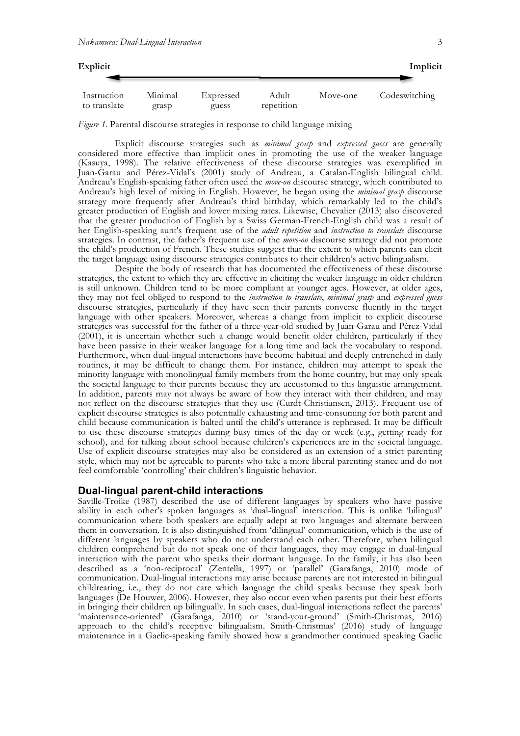

*Figure 1.* Parental discourse strategies in response to child language mixing

Explicit discourse strategies such as *minimal grasp* and *expressed guess* are generally considered more effective than implicit ones in promoting the use of the weaker language (Kasuya, 1998). The relative effectiveness of these discourse strategies was exemplified in Juan-Garau and Pérez-Vidal's (2001) study of Andreau, a Catalan-English bilingual child. Andreau's English-speaking father often used the *move-on* discourse strategy, which contributed to Andreau's high level of mixing in English. However, he began using the *minimal grasp* discourse strategy more frequently after Andreau's third birthday, which remarkably led to the child's greater production of English and lower mixing rates. Likewise, Chevalier (2013) also discovered that the greater production of English by a Swiss German-French-English child was a result of her English-speaking aunt's frequent use of the *adult repetition* and *instruction to translate* discourse strategies. In contrast, the father's frequent use of the *move-on* discourse strategy did not promote the child's production of French. These studies suggest that the extent to which parents can elicit the target language using discourse strategies contributes to their children's active bilingualism.

Despite the body of research that has documented the effectiveness of these discourse strategies, the extent to which they are effective in eliciting the weaker language in older children is still unknown. Children tend to be more compliant at younger ages. However, at older ages, they may not feel obliged to respond to the *instruction to translate*, *minimal grasp* and *expressed guess* discourse strategies, particularly if they have seen their parents converse fluently in the target language with other speakers. Moreover, whereas a change from implicit to explicit discourse strategies was successful for the father of a three-year-old studied by Juan-Garau and Pérez-Vidal (2001), it is uncertain whether such a change would benefit older children, particularly if they have been passive in their weaker language for a long time and lack the vocabulary to respond. Furthermore, when dual-lingual interactions have become habitual and deeply entrenched in daily routines, it may be difficult to change them. For instance, children may attempt to speak the minority language with monolingual family members from the home country, but may only speak the societal language to their parents because they are accustomed to this linguistic arrangement. In addition, parents may not always be aware of how they interact with their children, and may not reflect on the discourse strategies that they use (Curdt-Christiansen, 2013). Frequent use of explicit discourse strategies is also potentially exhausting and time-consuming for both parent and child because communication is halted until the child's utterance is rephrased. It may be difficult to use these discourse strategies during busy times of the day or week (e.g., getting ready for school), and for talking about school because children's experiences are in the societal language. Use of explicit discourse strategies may also be considered as an extension of a strict parenting style, which may not be agreeable to parents who take a more liberal parenting stance and do not feel comfortable 'controlling' their children's linguistic behavior.

#### **Dual-lingual parent-child interactions**

Saville-Troike (1987) described the use of different languages by speakers who have passive ability in each other's spoken languages as 'dual-lingual' interaction. This is unlike 'bilingual' communication where both speakers are equally adept at two languages and alternate between them in conversation. It is also distinguished from 'dilingual' communication, which is the use of different languages by speakers who do not understand each other. Therefore, when bilingual children comprehend but do not speak one of their languages, they may engage in dual-lingual interaction with the parent who speaks their dormant language. In the family, it has also been described as a 'non-reciprocal' (Zentella, 1997) or 'parallel' (Garafanga, 2010) mode of communication. Dual-lingual interactions may arise because parents are not interested in bilingual childrearing, i.e., they do not care which language the child speaks because they speak both languages (De Houwer, 2006). However, they also occur even when parents put their best efforts in bringing their children up bilingually. In such cases, dual-lingual interactions reflect the parents' 'maintenance-oriented' (Garafanga, 2010) or 'stand-your-ground' (Smith-Christmas, 2016) approach to the child's receptive bilingualism. Smith-Christmas' (2016) study of language maintenance in a Gaelic-speaking family showed how a grandmother continued speaking Gaelic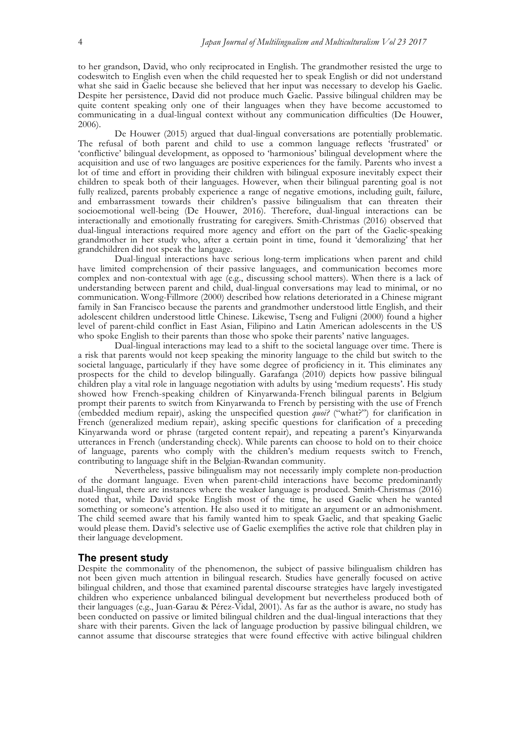to her grandson, David, who only reciprocated in English. The grandmother resisted the urge to codeswitch to English even when the child requested her to speak English or did not understand what she said in Gaelic because she believed that her input was necessary to develop his Gaelic. Despite her persistence, David did not produce much Gaelic. Passive bilingual children may be quite content speaking only one of their languages when they have become accustomed to communicating in a dual-lingual context without any communication difficulties (De Houwer, 2006).

De Houwer (2015) argued that dual-lingual conversations are potentially problematic. The refusal of both parent and child to use a common language reflects 'frustrated' or 'conflictive' bilingual development, as opposed to 'harmonious' bilingual development where the acquisition and use of two languages are positive experiences for the family. Parents who invest a lot of time and effort in providing their children with bilingual exposure inevitably expect their children to speak both of their languages. However, when their bilingual parenting goal is not fully realized, parents probably experience a range of negative emotions, including guilt, failure, and embarrassment towards their children's passive bilingualism that can threaten their socioemotional well-being (De Houwer, 2016). Therefore, dual-lingual interactions can be interactionally and emotionally frustrating for caregivers. Smith-Christmas (2016) observed that dual-lingual interactions required more agency and effort on the part of the Gaelic-speaking grandmother in her study who, after a certain point in time, found it 'demoralizing' that her grandchildren did not speak the language.

Dual-lingual interactions have serious long-term implications when parent and child have limited comprehension of their passive languages, and communication becomes more complex and non-contextual with age (e.g., discussing school matters). When there is a lack of understanding between parent and child, dual-lingual conversations may lead to minimal, or no communication. Wong-Fillmore (2000) described how relations deteriorated in a Chinese migrant family in San Francisco because the parents and grandmother understood little English, and their adolescent children understood little Chinese. Likewise, Tseng and Fuligni (2000) found a higher level of parent-child conflict in East Asian, Filipino and Latin American adolescents in the US who spoke English to their parents than those who spoke their parents' native languages.

Dual-lingual interactions may lead to a shift to the societal language over time. There is a risk that parents would not keep speaking the minority language to the child but switch to the societal language, particularly if they have some degree of proficiency in it. This eliminates any prospects for the child to develop bilingually. Garafanga (2010) depicts how passive bilingual children play a vital role in language negotiation with adults by using 'medium requests'. His study showed how French-speaking children of Kinyarwanda-French bilingual parents in Belgium prompt their parents to switch from Kinyarwanda to French by persisting with the use of French (embedded medium repair), asking the unspecified question *quoi?* ("what?") for clarification in French (generalized medium repair), asking specific questions for clarification of a preceding Kinyarwanda word or phrase (targeted content repair), and repeating a parent's Kinyarwanda utterances in French (understanding check). While parents can choose to hold on to their choice of language, parents who comply with the children's medium requests switch to French, contributing to language shift in the Belgian-Rwandan community.

Nevertheless, passive bilingualism may not necessarily imply complete non-production of the dormant language. Even when parent-child interactions have become predominantly dual-lingual, there are instances where the weaker language is produced. Smith-Christmas (2016) noted that, while David spoke English most of the time, he used Gaelic when he wanted something or someone's attention. He also used it to mitigate an argument or an admonishment. The child seemed aware that his family wanted him to speak Gaelic, and that speaking Gaelic would please them. David's selective use of Gaelic exemplifies the active role that children play in their language development.

#### **The present study**

Despite the commonality of the phenomenon, the subject of passive bilingualism children has not been given much attention in bilingual research. Studies have generally focused on active bilingual children, and those that examined parental discourse strategies have largely investigated children who experience unbalanced bilingual development but nevertheless produced both of their languages (e.g., Juan-Garau & Pérez-Vidal, 2001). As far as the author is aware, no study has been conducted on passive or limited bilingual children and the dual-lingual interactions that they share with their parents. Given the lack of language production by passive bilingual children, we cannot assume that discourse strategies that were found effective with active bilingual children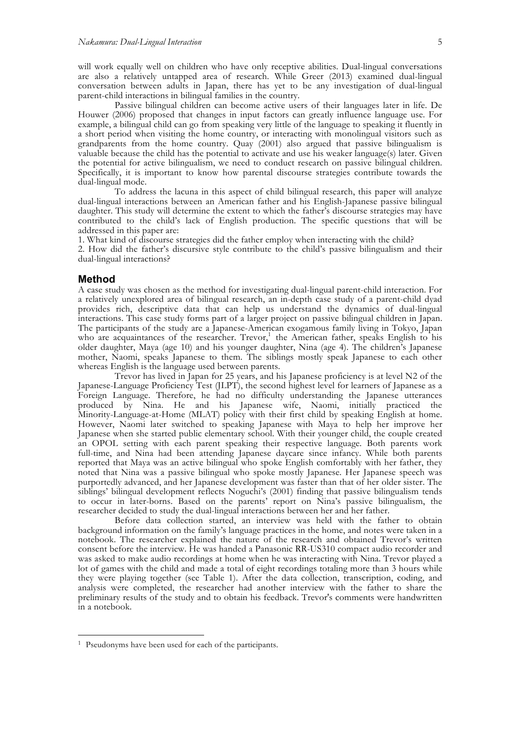will work equally well on children who have only receptive abilities. Dual-lingual conversations are also a relatively untapped area of research. While Greer (2013) examined dual-lingual conversation between adults in Japan, there has yet to be any investigation of dual-lingual parent-child interactions in bilingual families in the country.

Passive bilingual children can become active users of their languages later in life. De Houwer (2006) proposed that changes in input factors can greatly influence language use. For example, a bilingual child can go from speaking very little of the language to speaking it fluently in a short period when visiting the home country, or interacting with monolingual visitors such as grandparents from the home country. Quay (2001) also argued that passive bilingualism is valuable because the child has the potential to activate and use his weaker language(s) later. Given the potential for active bilingualism, we need to conduct research on passive bilingual children. Specifically, it is important to know how parental discourse strategies contribute towards the dual-lingual mode.

To address the lacuna in this aspect of child bilingual research, this paper will analyze dual-lingual interactions between an American father and his English-Japanese passive bilingual daughter. This study will determine the extent to which the father's discourse strategies may have contributed to the child's lack of English production. The specific questions that will be addressed in this paper are: 1. What kind of discourse strategies did the father employ when interacting with the child?

2. How did the father's discursive style contribute to the child's passive bilingualism and their dual-lingual interactions?

#### **Method**

A case study was chosen as the method for investigating dual-lingual parent-child interaction. For a relatively unexplored area of bilingual research, an in-depth case study of a parent-child dyad provides rich, descriptive data that can help us understand the dynamics of dual-lingual interactions. This case study forms part of a larger project on passive bilingual children in Japan. The participants of the study are a Japanese-American exogamous family living in Tokyo, Japan who are acquaintances of the researcher. Trevor,<sup>1</sup> the American father, speaks English to his older daughter, Maya (age 10) and his younger daughter, Nina (age 4). The children's Japanese mother, Naomi, speaks Japanese to them. The siblings mostly speak Japanese to each other whereas English is the language used between parents.

Trevor has lived in Japan for 25 years, and his Japanese proficiency is at level N2 of the Japanese-Language Proficiency Test (JLPT), the second highest level for learners of Japanese as a Foreign Language. Therefore, he had no difficulty understanding the Japanese utterances produced by Nina. He and his Japanese wife, Naomi, initially practiced the Minority-Language-at-Home (MLAT) policy with their first child by speaking English at home. However, Naomi later switched to speaking Japanese with Maya to help her improve her Japanese when she started public elementary school. With their younger child, the couple created an OPOL setting with each parent speaking their respective language. Both parents work full-time, and Nina had been attending Japanese daycare since infancy. While both parents reported that Maya was an active bilingual who spoke English comfortably with her father, they noted that Nina was a passive bilingual who spoke mostly Japanese. Her Japanese speech was purportedly advanced, and her Japanese development was faster than that of her older sister. The siblings' bilingual development reflects Noguchi's (2001) finding that passive bilingualism tends to occur in later-borns. Based on the parents' report on Nina's passive bilingualism, the researcher decided to study the dual-lingual interactions between her and her father.

Before data collection started, an interview was held with the father to obtain background information on the family's language practices in the home, and notes were taken in a notebook. The researcher explained the nature of the research and obtained Trevor's written consent before the interview. He was handed a Panasonic RR-US310 compact audio recorder and was asked to make audio recordings at home when he was interacting with Nina. Trevor played a lot of games with the child and made a total of eight recordings totaling more than 3 hours while they were playing together (see Table 1). After the data collection, transcription, coding, and analysis were completed, the researcher had another interview with the father to share the preliminary results of the study and to obtain his feedback. Trevor's comments were handwritten in a notebook.

 <sup>1</sup> Pseudonyms have been used for each of the participants.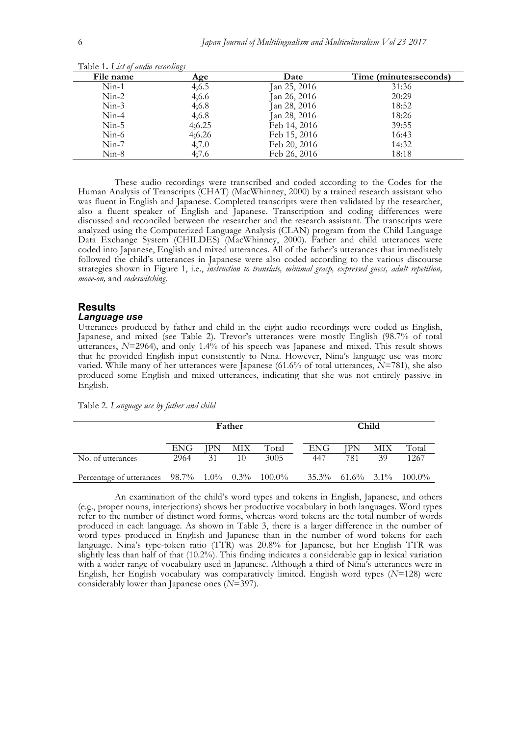| File name | Age    | Date         | Time (minutes: seconds) |
|-----------|--------|--------------|-------------------------|
| $Nin-1$   | 4;6.5  | Jan 25, 2016 | 31:36                   |
| $Nin-2$   | 4;6.6  | Jan 26, 2016 | 20:29                   |
| $Nin-3$   | 4;6.8  | Jan 28, 2016 | 18:52                   |
| $Nin-4$   | 4;6.8  | Jan 28, 2016 | 18:26                   |
| $Nin-5$   | 4:6.25 | Feb 14, 2016 | 39:55                   |
| $Nin-6$   | 4:6.26 | Feb 15, 2016 | 16:43                   |
| $Nin-7$   | 4;7.0  | Feb 20, 2016 | 14:32                   |
| $Nin-8$   | 4:7.6  | Feb 26, 2016 | 18:18                   |

Table 1**.** *List of audio recordings*

These audio recordings were transcribed and coded according to the Codes for the Human Analysis of Transcripts (CHAT) (MacWhinney, 2000) by a trained research assistant who was fluent in English and Japanese. Completed transcripts were then validated by the researcher, also a fluent speaker of English and Japanese. Transcription and coding differences were discussed and reconciled between the researcher and the research assistant. The transcripts were analyzed using the Computerized Language Analysis (CLAN) program from the Child Language Data Exchange System (CHILDES) (MacWhinney, 2000). Father and child utterances were coded into Japanese, English and mixed utterances. All of the father's utterances that immediately followed the child's utterances in Japanese were also coded according to the various discourse strategies shown in Figure 1, i.e., *instruction to translate, minimal grasp, expressed guess, adult repetition, move-on,* and *codeswitching*.

#### **Results** *Language use*

#### Utterances produced by father and child in the eight audio recordings were coded as English, Japanese, and mixed (see Table 2). Trevor's utterances were mostly English (98.7% of total utterances, *N*=2964), and only 1.4% of his speech was Japanese and mixed. This result shows that he provided English input consistently to Nina. However, Nina's language use was more varied. While many of her utterances were Japanese (61.6% of total utterances, *N*=781), she also produced some English and mixed utterances, indicating that she was not entirely passive in English.

|  | Table 2. Language use by father and child |  |  |  |  |  |
|--|-------------------------------------------|--|--|--|--|--|
|--|-------------------------------------------|--|--|--|--|--|

|                                                             | Father |     |      |       | Child |     |            |                                     |
|-------------------------------------------------------------|--------|-----|------|-------|-------|-----|------------|-------------------------------------|
|                                                             | ENG    | IPN | MIX- | Total | ENG-  | IPN | <b>MIX</b> | Total                               |
| No. of utterances                                           | 2964   | 31  | 10   | 3005  | 447   | 781 | 39         | 1267                                |
| Percentage of utterances $98.7\%$ $1.0\%$ $0.3\%$ $100.0\%$ |        |     |      |       |       |     |            | $35.3\%$ $61.6\%$ $3.1\%$ $100.0\%$ |

An examination of the child's word types and tokens in English, Japanese, and others (e.g., proper nouns, interjections) shows her productive vocabulary in both languages. Word types refer to the number of distinct word forms, whereas word tokens are the total number of words produced in each language. As shown in Table 3, there is a larger difference in the number of word types produced in English and Japanese than in the number of word tokens for each language. Nina's type-token ratio (TTR) was 20.8% for Japanese, but her English TTR was slightly less than half of that (10.2%). This finding indicates a considerable gap in lexical variation with a wider range of vocabulary used in Japanese. Although a third of Nina's utterances were in English, her English vocabulary was comparatively limited. English word types (*N*=128) were considerably lower than Japanese ones (*N*=397).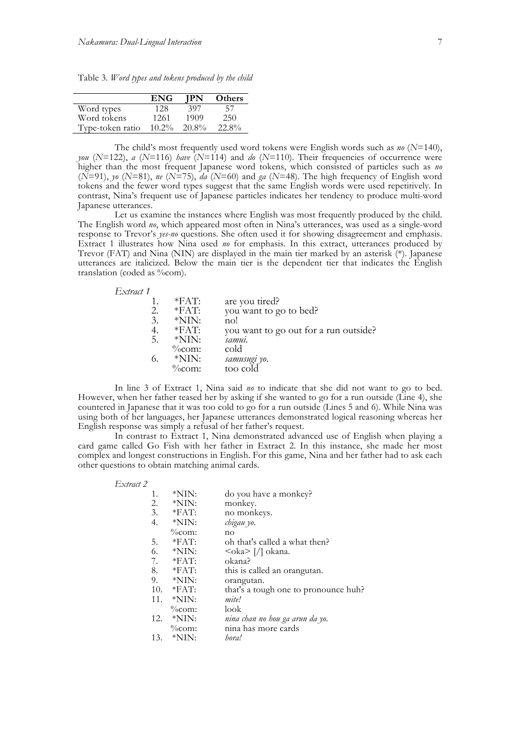Table 3*. Word types and tokens produced by the child*

|                  | ENG      | IPN      | <b>Others</b> |
|------------------|----------|----------|---------------|
| Word types       | 128      | 397      | 57            |
| Word tokens      | 1261     | 1909     | 250           |
| Type-token ratio | $10.2\%$ | $20.8\%$ | $22.8\%$      |

The child's most frequently used word tokens were English words such as *no* (*N*=140), *you* ( $N=122$ ), *a* ( $N=116$ ) *have* ( $N=114$ ) and *do* ( $N=110$ ). Their frequencies of occurrence were higher than the most frequent Japanese word tokens, which consisted of particles such as *no* (*N*=91), *yo* (*N*=81), *ne* (*N*=75), *da* (*N*=60) and *ga* (*N*=48). The high frequency of English word tokens and the fewer word types suggest that the same English words were used repetitively. In contrast, Nina's frequent use of Japanese particles indicates her tendency to produce multi-word Japanese utterances.

Let us examine the instances where English was most frequently produced by the child. The English word *no*, which appeared most often in Nina's utterances, was used as a single-word response to Trevor's *yes-no* questions. She often used it for showing disagreement and emphasis. Extract 1 illustrates how Nina used *no* for emphasis. In this extract, utterances produced by Trevor (FAT) and Nina (NIN) are displayed in the main tier marked by an asterisk (\*). Japanese utterances are italicized. Below the main tier is the dependent tier that indicates the English translation (coded as %com).

*Extract 1*

| $*FAT:$   | are you tired?                        |
|-----------|---------------------------------------|
| $*FAT$    | you want to go to bed?                |
| $*NIN:$   | no!                                   |
| $*FAT$    | you want to go out for a run outside? |
| $*NIN:$   | samui.                                |
| $\%$ com: | cold                                  |
| $*NIN:$   | samusugi yo.                          |
| $\%$ com: | too cold                              |
|           |                                       |

In line 3 of Extract 1, Nina said *no* to indicate that she did not want to go to bed. However, when her father teased her by asking if she wanted to go for a run outside (Line 4), she countered in Japanese that it was too cold to go for a run outside (Lines 5 and 6). While Nina was using both of her languages, her Japanese utterances demonstrated logical reasoning whereas her English response was simply a refusal of her father's request.

In contrast to Extract 1, Nina demonstrated advanced use of English when playing a card game called Go Fish with her father in Extract 2. In this instance, she made her most complex and longest constructions in English. For this game, Nina and her father had to ask each other questions to obtain matching animal cards.

*Extract 2*

| 1.  | $*$ NIN:     | do you have a monkey?                   |
|-----|--------------|-----------------------------------------|
| 2.  | $*NIN:$      | monkey.                                 |
| 3.  | $*FAT:$      | no monkeys.                             |
| 4.  | $*NIN:$      | chigau yo.                              |
|     | $\%$ com:    | no                                      |
| 5.  | $*FAT:$      | oh that's called a what then?           |
| 6.  | *NIN:        | $\langle \text{ok}a \rangle$ [/] okana. |
| 7.  | $*FAT:$      | okana?                                  |
| 8.  | $*FAT$ :     | this is called an orangutan.            |
| 9.  | $*NIN:$      | orangutan.                              |
|     | 10. $*FAT$ : | that's a tough one to pronounce huh?    |
| 11. | $*$ NIN:     | mite!                                   |
|     | $\%$ com:    | look                                    |
| 12. | $*$ NIN:     | nina chan no hou ga arun da yo.         |
|     | $\%$ com:    | nina has more cards                     |
| 13. | $*$ NIN:     | hora!                                   |
|     |              |                                         |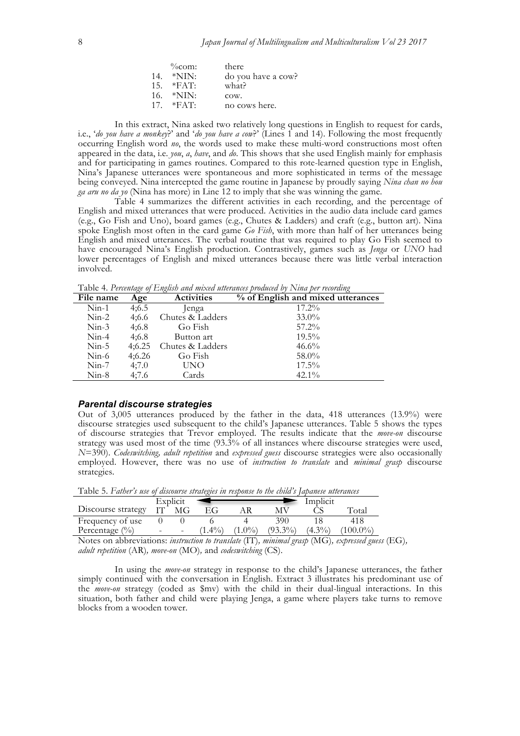|     | $\%$ com:   | there              |
|-----|-------------|--------------------|
| 14. | $*$ NIN:    | do you have a cow? |
| 15. | $*FAT:$     | what?              |
| 16. | $*NIN:$     | COW.               |
|     | $17.$ *FAT: | no cows here.      |

In this extract, Nina asked two relatively long questions in English to request for cards, i.e., '*do you have a monkey*?' and '*do you have a cow*?' (Lines 1 and 14). Following the most frequently occurring English word *no*, the words used to make these multi-word constructions most often appeared in the data, i.e. *you*, *a*, *have*, and *do*. This shows that she used English mainly for emphasis and for participating in games routines. Compared to this rote-learned question type in English, Nina's Japanese utterances were spontaneous and more sophisticated in terms of the message being conveyed. Nina intercepted the game routine in Japanese by proudly saying *Nina chan no hou ga aru no da yo* (Nina has more) in Line 12 to imply that she was winning the game.

Table 4 summarizes the different activities in each recording, and the percentage of English and mixed utterances that were produced. Activities in the audio data include card games (e.g., Go Fish and Uno), board games (e.g., Chutes & Ladders) and craft (e.g., button art). Nina spoke English most often in the card game *Go Fish*, with more than half of her utterances being English and mixed utterances. The verbal routine that was required to play Go Fish seemed to have encouraged Nina's English production. Contrastively, games such as *Jenga* or *UNO* had lower percentages of English and mixed utterances because there was little verbal interaction involved.

Table 4. *Percentage of English and mixed utterances produced by Nina per recording*

| File name | Age    | Activities       | % of English and mixed utterances |
|-----------|--------|------------------|-----------------------------------|
| $Nin-1$   | 4:6.5  | lenga            | $17.2\%$                          |
| $Nin-2$   | 4:6.6  | Chutes & Ladders | $33.0\%$                          |
| $Nin-3$   | 4:6.8  | Go Fish          | $57.2\%$                          |
| $Nin-4$   | 4:6.8  | Button art       | $19.5\%$                          |
| $Nin-5$   | 4:6.25 | Chutes & Ladders | 46.6%                             |
| $Nin-6$   | 4;6.26 | Go Fish          | 58.0%                             |
| $Nin-7$   | 4:7.0  | UNO              | $17.5\%$                          |
| $Nin-8$   | 4:7.6  | Cards            | $42.1\%$                          |
|           |        |                  |                                   |

#### *Parental discourse strategies*

Out of 3,005 utterances produced by the father in the data, 418 utterances (13.9%) were discourse strategies used subsequent to the child's Japanese utterances. Table 5 shows the types of discourse strategies that Trevor employed. The results indicate that the *move-on* discourse strategy was used most of the time (93.3% of all instances where discourse strategies were used, *N*=390). *Codeswitching, adult repetition* and *expressed guess* discourse strategies were also occasionally employed. However, there was no use of *instruction to translate* and *minimal grasp* discourse strategies.

Table 5. *Father's use of discourse strategies in response to the child's Japanese utterances*

|                    |      | Explicit                 |           |           |            | Implicit  |                      |
|--------------------|------|--------------------------|-----------|-----------|------------|-----------|----------------------|
| Discourse strategy | TT - | MG                       |           |           | M١         |           | $\tau_{\text{otal}}$ |
| Frequency of use   |      |                          |           |           | 390        |           | 418                  |
| Percentage $(\% )$ |      | $\overline{\phantom{a}}$ | $(1.4\%)$ | $(1.0\%)$ | $(93.3\%)$ | $(4.3\%)$ | $(100.0\%)$          |

Notes on abbreviations: *instruction to translate* (IT)*, minimal grasp* (MG)*, expressed guess* (EG)*, adult repetition* (AR)*, move-on* (MO)*,* and *codeswitching* (CS).

In using the *move-on* strategy in response to the child's Japanese utterances, the father simply continued with the conversation in English. Extract 3 illustrates his predominant use of the *move-on* strategy (coded as \$mv) with the child in their dual-lingual interactions. In this situation, both father and child were playing Jenga, a game where players take turns to remove blocks from a wooden tower.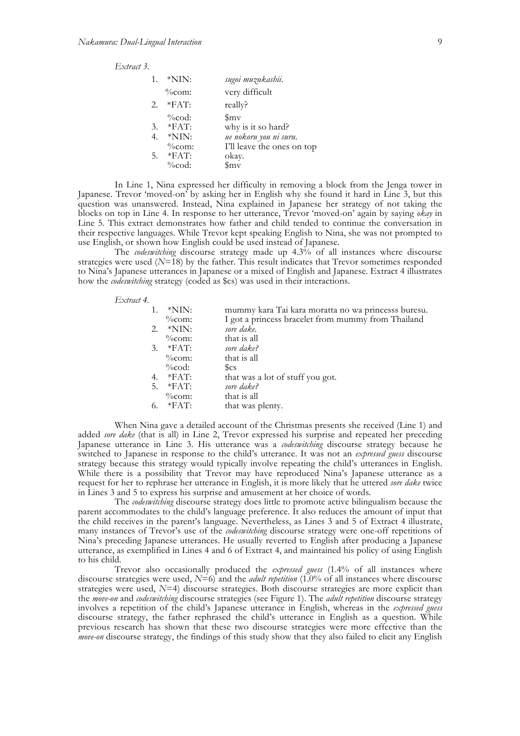*Extract 3.*

|             | $*NIN:$   | sugoi muzukashii.          |
|-------------|-----------|----------------------------|
|             | $\%$ com: | very difficult             |
| $2_{\cdot}$ | $*FAT:$   | really?                    |
|             | $\%$ cod: | $\mathfrak{Smv}$           |
| 3.          | $*FAT:$   | why is it so hard?         |
| 4.          | $*NIN:$   | ue nokoru you ni suru.     |
|             | $\%$ com: | I'll leave the ones on top |
| 5.          | $*FAT:$   | okay.                      |
|             | $\%$ cod: | $\$_{\rm mv}$              |

In Line 1, Nina expressed her difficulty in removing a block from the Jenga tower in Japanese. Trevor 'moved-on' by asking her in English why she found it hard in Line 3, but this question was unanswered. Instead, Nina explained in Japanese her strategy of not taking the blocks on top in Line 4. In response to her utterance, Trevor 'moved-on' again by saying *okay* in Line 5. This extract demonstrates how father and child tended to continue the conversation in their respective languages. While Trevor kept speaking English to Nina, she was not prompted to use English, or shown how English could be used instead of Japanese.

The *codeswitching* discourse strategy made up 4.3% of all instances where discourse strategies were used  $(N=18)$  by the father. This result indicates that Trevor sometimes responded to Nina's Japanese utterances in Japanese or a mixed of English and Japanese. Extract 4 illustrates how the *codeswitching* strategy (coded as \$cs) was used in their interactions.

*Extract 4.*

|    | $*NIN:$    | mummy kara Tai kara moratta no wa princesss buresu. |
|----|------------|-----------------------------------------------------|
|    | $\%$ com:  | I got a princess bracelet from mummy from Thailand  |
| 2. | $*NIN:$    | sore dake.                                          |
|    | $\%$ com:  | that is all                                         |
|    | $3. *FAT:$ | sore dake?                                          |
|    | $\%$ com:  | that is all                                         |
|    | $\%$ cod:  | $s_{\text{CS}}$                                     |
|    | $*FAT:$    | that was a lot of stuff you got.                    |
| 5. | $*FAT:$    | sore dake?                                          |
|    | $\%$ com:  | that is all                                         |
|    | $*FAT:$    | that was plenty.                                    |
|    |            |                                                     |

When Nina gave a detailed account of the Christmas presents she received (Line 1) and added *sore dake* (that is all) in Line 2, Trevor expressed his surprise and repeated her preceding Japanese utterance in Line 3. His utterance was a *codeswitching* discourse strategy because he switched to Japanese in response to the child's utterance. It was not an *expressed guess* discourse strategy because this strategy would typically involve repeating the child's utterances in English. While there is a possibility that Trevor may have reproduced Nina's Japanese utterance as a request for her to rephrase her utterance in English, it is more likely that he uttered *sore dake* twice in Lines 3 and 5 to express his surprise and amusement at her choice of words.

The *codeswitching* discourse strategy does little to promote active bilingualism because the parent accommodates to the child's language preference. It also reduces the amount of input that the child receives in the parent's language. Nevertheless, as Lines 3 and 5 of Extract 4 illustrate, many instances of Trevor's use of the *codeswitching* discourse strategy were one-off repetitions of Nina's preceding Japanese utterances. He usually reverted to English after producing a Japanese utterance, as exemplified in Lines 4 and 6 of Extract 4, and maintained his policy of using English to his child.

Trevor also occasionally produced the *expressed guess* (1.4% of all instances where discourse strategies were used, *N*=6) and the *adult repetition* (1.0% of all instances where discourse strategies were used, *N*=4) discourse strategies. Both discourse strategies are more explicit than the *move-on* and *codeswitching* discourse strategies (see Figure 1). The *adult repetition* discourse strategy involves a repetition of the child's Japanese utterance in English, whereas in the *expressed guess* discourse strategy, the father rephrased the child's utterance in English as a question. While previous research has shown that these two discourse strategies were more effective than the *move-on* discourse strategy, the findings of this study show that they also failed to elicit any English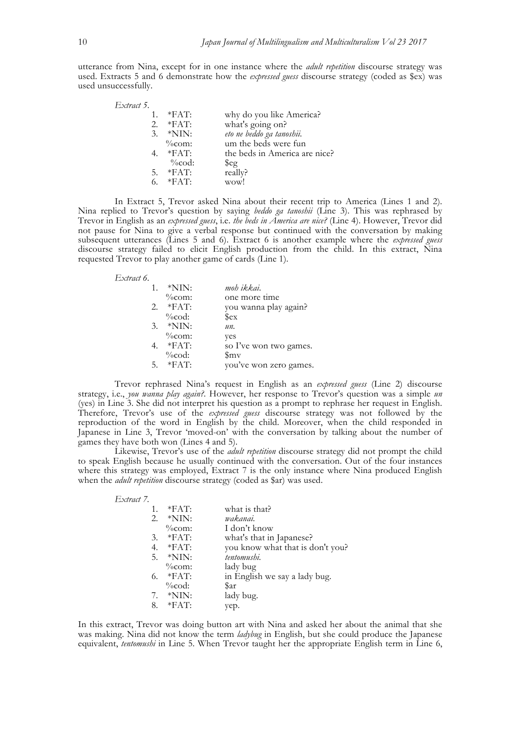utterance from Nina, except for in one instance where the *adult repetition* discourse strategy was used. Extracts 5 and 6 demonstrate how the *expressed guess* discourse strategy (coded as \$ex) was used unsuccessfully.

| Extract 5. |           |                               |
|------------|-----------|-------------------------------|
|            | $*FAT:$   | why do you like America?      |
| 2.         | $*FAT:$   | what's going on?              |
| 3.         | $*NIN:$   | eto ne beddo ga tanoshii.     |
|            | $\%$ com: | um the beds were fun          |
|            | $*FAT:$   | the beds in America are nice? |
|            | $\%$ cod: | \$eg                          |
| 5.         | $*FAT:$   | really?                       |
|            | $*FAT:$   | wow!                          |
|            |           |                               |

In Extract 5, Trevor asked Nina about their recent trip to America (Lines 1 and 2). Nina replied to Trevor's question by saying *beddo ga tanoshii* (Line 3). This was rephrased by Trevor in English as an *expressed guess*, i.e. *the beds in America are nice?* (Line 4). However, Trevor did not pause for Nina to give a verbal response but continued with the conversation by making subsequent utterances (Lines 5 and 6). Extract 6 is another example where the *expressed guess* discourse strategy failed to elicit English production from the child. In this extract, Nina requested Trevor to play another game of cards (Line 1).

*Extract 6.*

| 1.          | $*NIN:$   | moh ikkai.             |
|-------------|-----------|------------------------|
|             | $\%$ com: | one more time          |
| $2_{\cdot}$ | $*FAT$ :  | you wanna play again?  |
|             | $\%$ cod: | Sex                    |
| 3           | $*NIN:$   | un.                    |
|             | $\%$ com: | yes                    |
|             | $*FAT:$   | so I've won two games. |
|             | $\%$ cod: | $\mathfrak{Smv}$       |
|             | $*FAT:$   | you've won zero games. |

Trevor rephrased Nina's request in English as an *expressed guess* (Line 2) discourse strategy, i.e., *you wanna play again?*. However, her response to Trevor's question was a simple *un* (yes) in Line 3. She did not interpret his question as a prompt to rephrase her request in English. Therefore, Trevor's use of the *expressed guess* discourse strategy was not followed by the reproduction of the word in English by the child. Moreover, when the child responded in Japanese in Line 3, Trevor 'moved-on' with the conversation by talking about the number of games they have both won (Lines 4 and 5).

Likewise, Trevor's use of the *adult repetition* discourse strategy did not prompt the child to speak English because he usually continued with the conversation. Out of the four instances where this strategy was employed, Extract 7 is the only instance where Nina produced English when the *adult repetition* discourse strategy (coded as \$ar) was used.

*Extract 7.*

|    | $*FAT:$           | what is that?                    |
|----|-------------------|----------------------------------|
|    | 2. $*NIN:$        | wakanai.                         |
|    | $\%$ com:         | I don't know                     |
| 3. | $*FAT:$           | what's that in Japanese?         |
|    | 4. $*FAT$ :       | you know what that is don't you? |
| 5. | $*NIN:$           | tentomushi.                      |
|    | $\%$ com:         | lady bug                         |
|    | $6. *FAT:$        | in English we say a lady bug.    |
|    | $\% \text{cod}$ : | Sar                              |
| 7. | $*NIN:$           | lady bug.                        |
| 8. | $*FAT:$           | yep.                             |
|    |                   |                                  |

In this extract, Trevor was doing button art with Nina and asked her about the animal that she was making. Nina did not know the term *ladybug* in English, but she could produce the Japanese equivalent, *tentomushi* in Line 5. When Trevor taught her the appropriate English term in Line 6,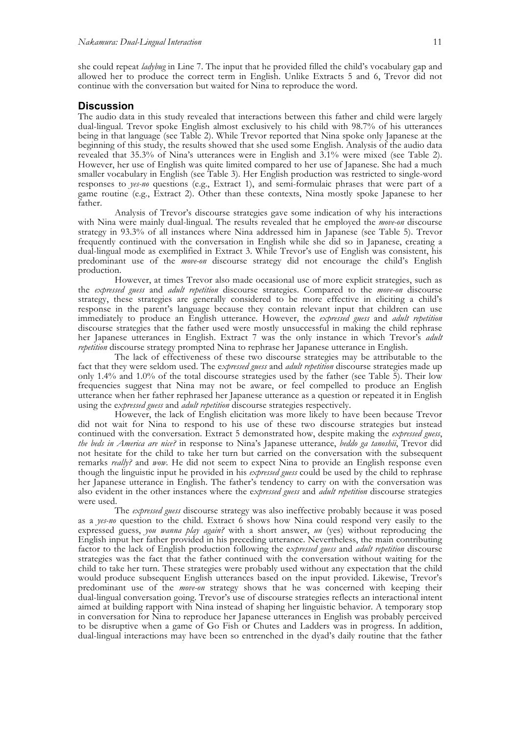she could repeat *ladybug* in Line 7. The input that he provided filled the child's vocabulary gap and allowed her to produce the correct term in English. Unlike Extracts 5 and 6, Trevor did not continue with the conversation but waited for Nina to reproduce the word.

#### **Discussion**

The audio data in this study revealed that interactions between this father and child were largely dual-lingual. Trevor spoke English almost exclusively to his child with 98.7% of his utterances being in that language (see Table 2). While Trevor reported that Nina spoke only Japanese at the beginning of this study, the results showed that she used some English. Analysis of the audio data revealed that 35.3% of Nina's utterances were in English and 3.1% were mixed (see Table 2). However, her use of English was quite limited compared to her use of Japanese. She had a much smaller vocabulary in English (see Table 3). Her English production was restricted to single-word responses to *yes-no* questions (e.g., Extract 1), and semi-formulaic phrases that were part of a game routine (e.g., Extract 2). Other than these contexts, Nina mostly spoke Japanese to her father.

Analysis of Trevor's discourse strategies gave some indication of why his interactions with Nina were mainly dual-lingual. The results revealed that he employed the *move-on* discourse strategy in 93.3% of all instances where Nina addressed him in Japanese (see Table 5). Trevor frequently continued with the conversation in English while she did so in Japanese, creating a dual-lingual mode as exemplified in Extract 3. While Trevor's use of English was consistent, his predominant use of the *move-on* discourse strategy did not encourage the child's English production.

However, at times Trevor also made occasional use of more explicit strategies, such as the *expressed guess* and *adult repetition* discourse strategies. Compared to the *move-on* discourse strategy, these strategies are generally considered to be more effective in eliciting a child's response in the parent's language because they contain relevant input that children can use immediately to produce an English utterance. However, the *expressed guess* and *adult repetition* discourse strategies that the father used were mostly unsuccessful in making the child rephrase her Japanese utterances in English. Extract 7 was the only instance in which Trevor's *adult repetition* discourse strategy prompted Nina to rephrase her Japanese utterance in English.

The lack of effectiveness of these two discourse strategies may be attributable to the fact that they were seldom used. The e*xpressed guess* and *adult repetition* discourse strategies made up only 1.4% and 1.0% of the total discourse strategies used by the father (see Table  $\bar{5}$ ). Their low frequencies suggest that Nina may not be aware, or feel compelled to produce an English utterance when her father rephrased her Japanese utterance as a question or repeated it in English using the e*xpressed guess* and *adult repetition* discourse strategies respectively.

However, the lack of English elicitation was more likely to have been because Trevor did not wait for Nina to respond to his use of these two discourse strategies but instead continued with the conversation. Extract 5 demonstrated how, despite making the *expressed guess*, *the beds in America are nice?* in response to Nina's Japanese utterance, *beddo ga tanoshii*, Trevor did not hesitate for the child to take her turn but carried on the conversation with the subsequent remarks *really?* and *wow*. He did not seem to expect Nina to provide an English response even though the linguistic input he provided in his *expressed guess* could be used by the child to rephrase her Japanese utterance in English. The father's tendency to carry on with the conversation was also evident in the other instances where the e*xpressed guess* and *adult repetition* discourse strategies were used.

The *expressed guess* discourse strategy was also ineffective probably because it was posed as a *yes-no* question to the child. Extract 6 shows how Nina could respond very easily to the expressed guess, *you wanna play again?* with a short answer, *un* (yes) without reproducing the English input her father provided in his preceding utterance. Nevertheless, the main contributing factor to the lack of English production following the e*xpressed guess* and *adult repetition* discourse strategies was the fact that the father continued with the conversation without waiting for the child to take her turn. These strategies were probably used without any expectation that the child would produce subsequent English utterances based on the input provided. Likewise, Trevor's predominant use of the *move-on* strategy shows that he was concerned with keeping their dual-lingual conversation going. Trevor's use of discourse strategies reflects an interactional intent aimed at building rapport with Nina instead of shaping her linguistic behavior. A temporary stop in conversation for Nina to reproduce her Japanese utterances in English was probably perceived to be disruptive when a game of Go Fish or Chutes and Ladders was in progress. In addition, dual-lingual interactions may have been so entrenched in the dyad's daily routine that the father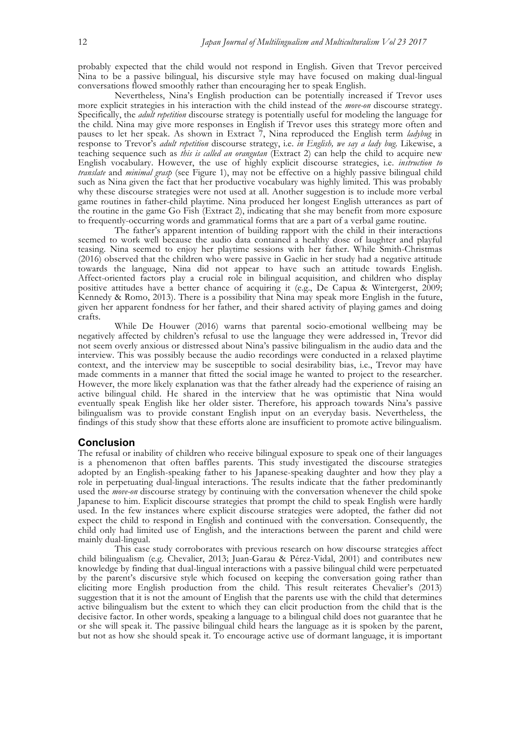probably expected that the child would not respond in English. Given that Trevor perceived Nina to be a passive bilingual, his discursive style may have focused on making dual-lingual conversations flowed smoothly rather than encouraging her to speak English.

Nevertheless, Nina's English production can be potentially increased if Trevor uses more explicit strategies in his interaction with the child instead of the *move-on* discourse strategy. Specifically, the *adult repetition* discourse strategy is potentially useful for modeling the language for the child. Nina may give more responses in English if Trevor uses this strategy more often and pauses to let her speak. As shown in Extract 7, Nina reproduced the English term *ladybug* in response to Trevor's *adult repetition* discourse strategy, i.e. *in English, we say a lady bug.* Likewise, a teaching sequence such as *this is called an orangutan* (Extract 2) can help the child to acquire new English vocabulary. However, the use of highly explicit discourse strategies, i.e. *instruction to translate* and *minimal grasp* (see Figure 1), may not be effective on a highly passive bilingual child such as Nina given the fact that her productive vocabulary was highly limited. This was probably why these discourse strategies were not used at all. Another suggestion is to include more verbal game routines in father-child playtime. Nina produced her longest English utterances as part of the routine in the game Go Fish (Extract 2), indicating that she may benefit from more exposure to frequently-occurring words and grammatical forms that are a part of a verbal game routine.

The father's apparent intention of building rapport with the child in their interactions seemed to work well because the audio data contained a healthy dose of laughter and playful teasing. Nina seemed to enjoy her playtime sessions with her father. While Smith-Christmas (2016) observed that the children who were passive in Gaelic in her study had a negative attitude towards the language, Nina did not appear to have such an attitude towards English. Affect-oriented factors play a crucial role in bilingual acquisition, and children who display positive attitudes have a better chance of acquiring it (e.g., De Capua & Wintergerst, 2009; Kennedy & Romo, 2013). There is a possibility that Nina may speak more English in the future, given her apparent fondness for her father, and their shared activity of playing games and doing crafts.

While De Houwer (2016) warns that parental socio-emotional wellbeing may be negatively affected by children's refusal to use the language they were addressed in, Trevor did not seem overly anxious or distressed about Nina's passive bilingualism in the audio data and the interview. This was possibly because the audio recordings were conducted in a relaxed playtime context, and the interview may be susceptible to social desirability bias, i.e., Trevor may have made comments in a manner that fitted the social image he wanted to project to the researcher. However, the more likely explanation was that the father already had the experience of raising an active bilingual child. He shared in the interview that he was optimistic that Nina would eventually speak English like her older sister. Therefore, his approach towards Nina's passive bilingualism was to provide constant English input on an everyday basis. Nevertheless, the findings of this study show that these efforts alone are insufficient to promote active bilingualism.

#### **Conclusion**

The refusal or inability of children who receive bilingual exposure to speak one of their languages is a phenomenon that often baffles parents. This study investigated the discourse strategies adopted by an English-speaking father to his Japanese-speaking daughter and how they play a role in perpetuating dual-lingual interactions. The results indicate that the father predominantly used the *move-on* discourse strategy by continuing with the conversation whenever the child spoke Japanese to him. Explicit discourse strategies that prompt the child to speak English were hardly used. In the few instances where explicit discourse strategies were adopted, the father did not expect the child to respond in English and continued with the conversation. Consequently, the child only had limited use of English, and the interactions between the parent and child were mainly dual-lingual.

This case study corroborates with previous research on how discourse strategies affect child bilingualism (e.g. Chevalier, 2013; Juan-Garau & Pérez-Vidal, 2001) and contributes new knowledge by finding that dual-lingual interactions with a passive bilingual child were perpetuated by the parent's discursive style which focused on keeping the conversation going rather than eliciting more English production from the child. This result reiterates Chevalier's (2013) suggestion that it is not the amount of English that the parents use with the child that determines active bilingualism but the extent to which they can elicit production from the child that is the decisive factor. In other words, speaking a language to a bilingual child does not guarantee that he or she will speak it. The passive bilingual child hears the language as it is spoken by the parent, but not as how she should speak it. To encourage active use of dormant language, it is important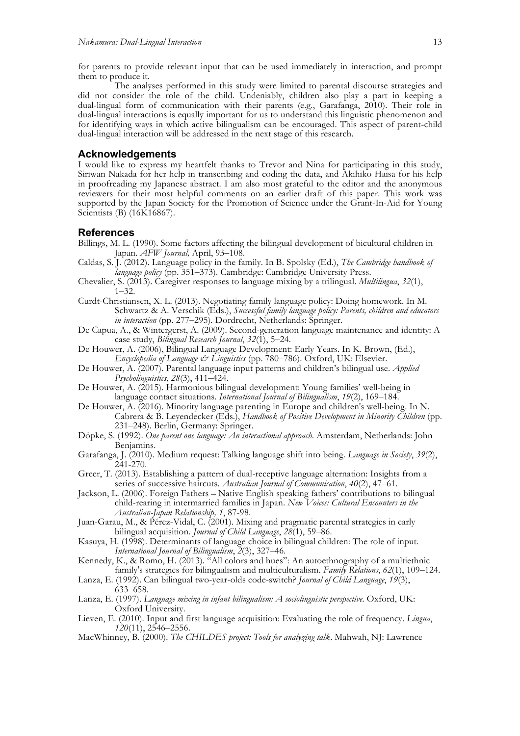for parents to provide relevant input that can be used immediately in interaction, and prompt them to produce it.

The analyses performed in this study were limited to parental discourse strategies and did not consider the role of the child. Undeniably, children also play a part in keeping a dual-lingual form of communication with their parents (e.g., Garafanga, 2010). Their role in dual-lingual interactions is equally important for us to understand this linguistic phenomenon and for identifying ways in which active bilingualism can be encouraged. This aspect of parent-child dual-lingual interaction will be addressed in the next stage of this research.

#### **Acknowledgements**

I would like to express my heartfelt thanks to Trevor and Nina for participating in this study, Siriwan Nakada for her help in transcribing and coding the data, and Akihiko Haisa for his help in proofreading my Japanese abstract. I am also most grateful to the editor and the anonymous reviewers for their most helpful comments on an earlier draft of this paper. This work was supported by the Japan Society for the Promotion of Science under the Grant-In-Aid for Young Scientists (B) (16K16867).

#### **References**

- Billings, M. L. (1990). Some factors affecting the bilingual development of bicultural children in Japan. *AFW Journal,* April, 93–108.
- Caldas, S. J. (2012). Language policy in the family. In B. Spolsky (Ed.), *The Cambridge handbook of*
- *language Chevalier, S. (2013). Caregiver responses to language mixing by a trilingual. <i>Multilingua*, *32*(1), 1–32.
- Curdt-Christiansen, X. L. (2013). Negotiating family language policy: Doing homework. In M. Schwartz & A. Verschik (Eds.), *Successful family language policy: Parents, children and educators in interaction* (pp. 277–295). Dordrecht, Netherlands: Springer.
- De Capua, A., & Wintergerst, A. (2009). Second-generation language maintenance and identity: A case study, *Bilingual Research Journal*, *32*(1), 5–24.
- De Houwer, A. (2006), Bilingual Language Development: Early Years. In K. Brown, (Ed.), *Encyclopedia of Language & Linguistics* (pp. 780–786). Oxford, UK: Elsevier.
- De Houwer, A. (2007). Parental language input patterns and children's bilingual use. *Applied Psycholinguistics*, *28*(3), 411–424.
- De Houwer, A. (2015). Harmonious bilingual development: Young families' well-being in language contact situations. *International Journal of Bilingualism*, *19*(2), 169–184.
- De Houwer, A. (2016). Minority language parenting in Europe and children's well-being. In N. Cabrera & B. Leyendecker (Eds.), *Handbook of Positive Development in Minority Children* (pp. 231–248). Berlin, Germany: Springer.
- Döpke, S. (1992). *One parent one language: An interactional approach*. Amsterdam, Netherlands: John Benjamins.
- Garafanga, J. (2010). Medium request: Talking language shift into being. *Language in Society*, *39*(2), 241-270.
- Greer, T. (2013). Establishing a pattern of dual-receptive language alternation: Insights from a series of successive haircuts. *Australian Journal of Communication*, *40*(2), 47–61.
- Jackson, L. (2006). Foreign Fathers Native English speaking fathers' contributions to bilingual child-rearing in intermarried families in Japan. *New Voices: Cultural Encounters in the Australian-Japan Relationship, 1*, 87-98.
- Juan-Garau, M., & Pérez-Vidal, C. (2001). Mixing and pragmatic parental strategies in early bilingual acquisition. *Journal of Child Language*, *28*(1), 59–86.
- Kasuya, H. (1998). Determinants of language choice in bilingual children: The role of input. *International Journal of Bilingualism*, *2*(3), 327–46.
- Kennedy, K., & Romo, H. (2013). "All colors and hues": An autoethnography of a multiethnic family's strategies for bilingualism and multiculturalism. *Family Relations*, *62*(1), 109–124.
- Lanza, E. (1992). Can bilingual two-year-olds code-switch? *Journal of Child Language*, *19*(3), 633–658.
- Lanza, E. (1997). *Language mixing in infant bilingualism: A sociolinguistic perspective*. Oxford, UK: Oxford University.
- Lieven, E. (2010). Input and first language acquisition: Evaluating the role of frequency. *Lingua*, *120*(11), 2546–2556.
- MacWhinney, B. (2000). *The CHILDES project: Tools for analyzing talk*. Mahwah, NJ: Lawrence